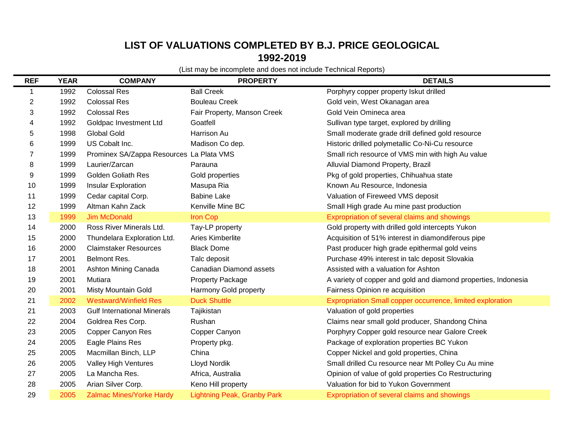## **LIST OF VALUATIONS COMPLETED BY B.J. PRICE GEOLOGICAL 1992-2019**

(List may be incomplete and does not include Technical Reports)

| <b>REF</b>     | <b>YEAR</b> | <b>COMPANY</b>                           | <b>PROPERTY</b>                    | <b>DETAILS</b>                                                 |
|----------------|-------------|------------------------------------------|------------------------------------|----------------------------------------------------------------|
| 1              | 1992        | <b>Colossal Res</b>                      | <b>Ball Creek</b>                  | Porphyry copper property Iskut drilled                         |
| $\overline{c}$ | 1992        | <b>Colossal Res</b>                      | <b>Bouleau Creek</b>               | Gold vein, West Okanagan area                                  |
| 3              | 1992        | <b>Colossal Res</b>                      | Fair Property, Manson Creek        | Gold Vein Omineca area                                         |
| 4              | 1992        | Goldpac Investment Ltd                   | Goatfell                           | Sullivan type target, explored by drilling                     |
| 5              | 1998        | <b>Global Gold</b>                       | Harrison Au                        | Small moderate grade drill defined gold resource               |
| 6              | 1999        | US Cobalt Inc.                           | Madison Co dep.                    | Historic drilled polymetallic Co-Ni-Cu resource                |
| 7              | 1999        | Prominex SA/Zappa Resources La Plata VMS |                                    | Small rich resource of VMS min with high Au value              |
| 8              | 1999        | Laurier/Zarcan                           | Parauna                            | Alluvial Diamond Property, Brazil                              |
| 9              | 1999        | <b>Golden Goliath Res</b>                | Gold properties                    | Pkg of gold properties, Chihuahua state                        |
| 10             | 1999        | Insular Exploration                      | Masupa Ria                         | Known Au Resource, Indonesia                                   |
| 11             | 1999        | Cedar capital Corp.                      | <b>Babine Lake</b>                 | Valuation of Fireweed VMS deposit                              |
| 12             | 1999        | Altman Kahn Zack                         | Kenville Mine BC                   | Small High grade Au mine past production                       |
| 13             | 1999        | <b>Jim McDonald</b>                      | <b>Iron Cop</b>                    | Expropriation of several claims and showings                   |
| 14             | 2000        | Ross River Minerals Ltd.                 | Tay-LP property                    | Gold property with drilled gold intercepts Yukon               |
| 15             | 2000        | Thundelara Exploration Ltd.              | Aries Kimberlite                   | Acquisition of 51% interest in diamondiferous pipe             |
| 16             | 2000        | <b>Claimstaker Resources</b>             | <b>Black Dome</b>                  | Past producer high grade epithermal gold veins                 |
| 17             | 2001        | Belmont Res.                             | Talc deposit                       | Purchase 49% interest in talc deposit Slovakia                 |
| 18             | 2001        | Ashton Mining Canada                     | Canadian Diamond assets            | Assisted with a valuation for Ashton                           |
| 19             | 2001        | Mutiara                                  | <b>Property Package</b>            | A variety of copper and gold and diamond properties, Indonesia |
| 20             | 2001        | Misty Mountain Gold                      | Harmony Gold property              | Fairness Opinion re acquisition                                |
| 21             | 2002        | <b>Westward/Winfield Res</b>             | <b>Duck Shuttle</b>                | Expropriation Small copper occurrence, limited exploration     |
| 21             | 2003        | <b>Gulf International Minerals</b>       | Tajikistan                         | Valuation of gold properties                                   |
| 22             | 2004        | Goldrea Res Corp.                        | Rushan                             | Claims near small gold producer, Shandong China                |
| 23             | 2005        | Copper Canyon Res                        | Copper Canyon                      | Porphyry Copper gold resource near Galore Creek                |
| 24             | 2005        | Eagle Plains Res                         | Property pkg.                      | Package of exploration properties BC Yukon                     |
| 25             | 2005        | Macmillan Binch, LLP                     | China                              | Copper Nickel and gold properties, China                       |
| 26             | 2005        | Valley High Ventures                     | Lloyd Nordik                       | Small drilled Cu resource near Mt Polley Cu Au mine            |
| 27             | 2005        | La Mancha Res.                           | Africa, Australia                  | Opinion of value of gold properties Co Restructuring           |
| 28             | 2005        | Arian Silver Corp.                       | Keno Hill property                 | Valuation for bid to Yukon Government                          |
| 29             | 2005        | <b>Zalmac Mines/Yorke Hardy</b>          | <b>Lightning Peak, Granby Park</b> | Expropriation of several claims and showings                   |